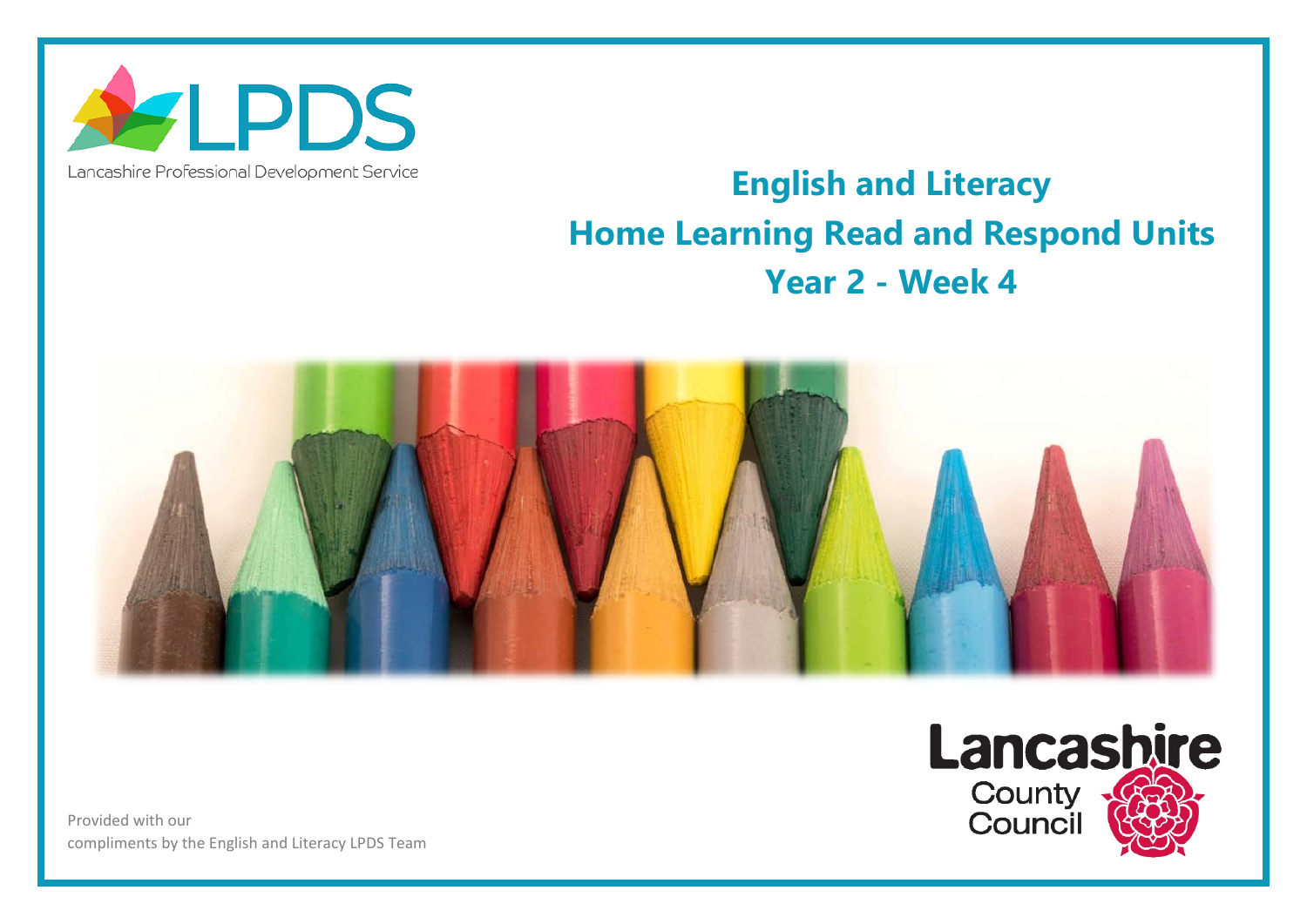

## Lancashire Professional Development Service

## **English and Literacy Home Learning Read and Respond Units Year 2 - Week 4**



Provided with our compliments by the English and Literacy LPDS Team

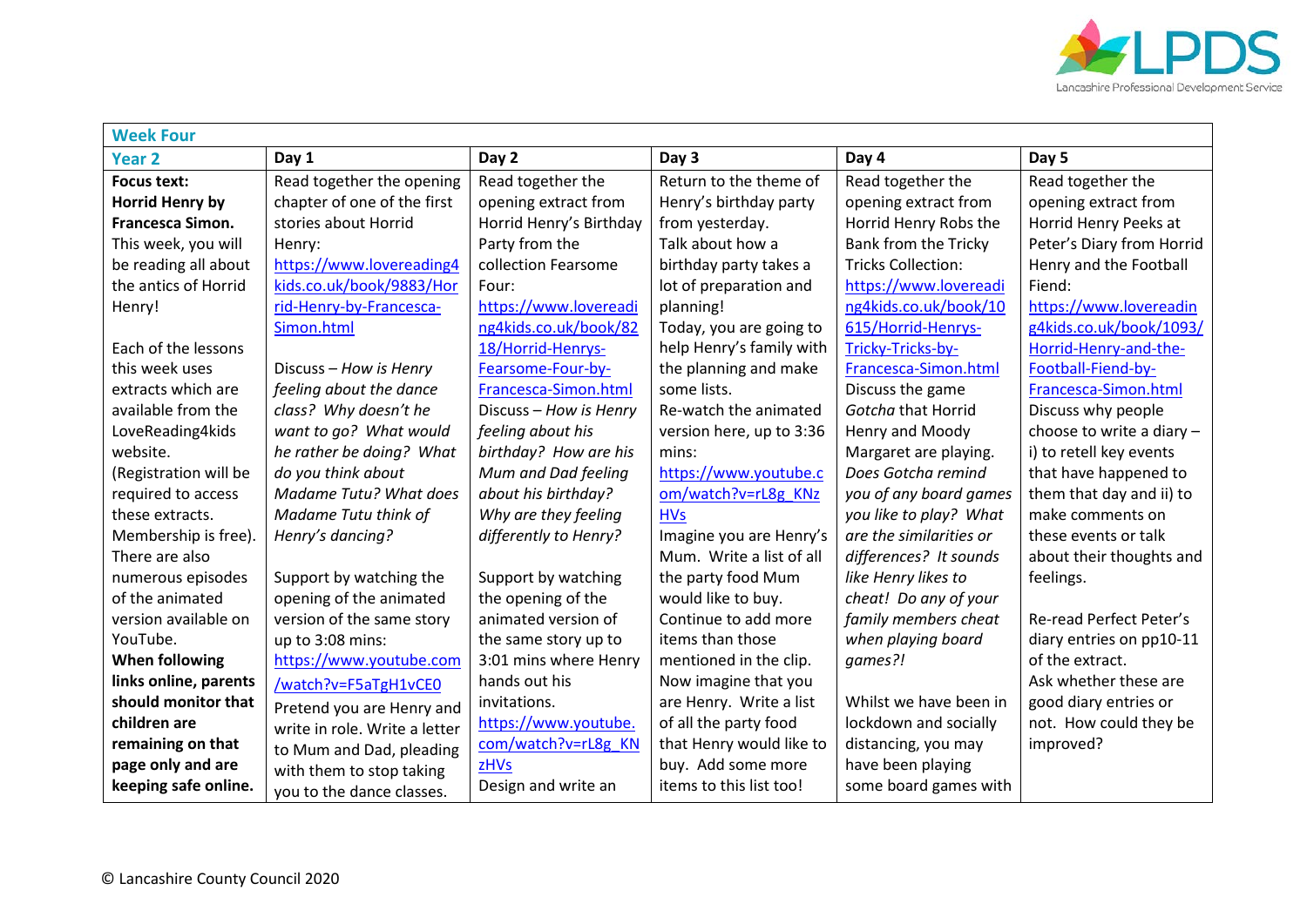

| <b>Week Four</b>       |                               |                         |                          |                           |                             |  |  |  |
|------------------------|-------------------------------|-------------------------|--------------------------|---------------------------|-----------------------------|--|--|--|
| <b>Year 2</b>          | Day 1                         | Day 2                   | Day 3                    | Day 4                     | Day 5                       |  |  |  |
| <b>Focus text:</b>     | Read together the opening     | Read together the       | Return to the theme of   | Read together the         | Read together the           |  |  |  |
| <b>Horrid Henry by</b> | chapter of one of the first   | opening extract from    | Henry's birthday party   | opening extract from      | opening extract from        |  |  |  |
| Francesca Simon.       | stories about Horrid          | Horrid Henry's Birthday | from yesterday.          | Horrid Henry Robs the     | Horrid Henry Peeks at       |  |  |  |
| This week, you will    | Henry:                        | Party from the          | Talk about how a         | Bank from the Tricky      | Peter's Diary from Horrid   |  |  |  |
| be reading all about   | https://www.lovereading4      | collection Fearsome     | birthday party takes a   | <b>Tricks Collection:</b> | Henry and the Football      |  |  |  |
| the antics of Horrid   | kids.co.uk/book/9883/Hor      | Four:                   | lot of preparation and   | https://www.lovereadi     | Fiend:                      |  |  |  |
| Henry!                 | rid-Henry-by-Francesca-       | https://www.lovereadi   | planning!                | ng4kids.co.uk/book/10     | https://www.lovereadin      |  |  |  |
|                        | Simon.html                    | ng4kids.co.uk/book/82   | Today, you are going to  | 615/Horrid-Henrys-        | g4kids.co.uk/book/1093/     |  |  |  |
| Each of the lessons    |                               | 18/Horrid-Henrys-       | help Henry's family with | Tricky-Tricks-by-         | Horrid-Henry-and-the-       |  |  |  |
| this week uses         | Discuss - How is Henry        | Fearsome-Four-by-       | the planning and make    | Francesca-Simon.html      | Football-Fiend-by-          |  |  |  |
| extracts which are     | feeling about the dance       | Francesca-Simon.html    | some lists.              | Discuss the game          | Francesca-Simon.html        |  |  |  |
| available from the     | class? Why doesn't he         | Discuss - How is Henry  | Re-watch the animated    | Gotcha that Horrid        | Discuss why people          |  |  |  |
| LoveReading4kids       | want to go? What would        | feeling about his       | version here, up to 3:36 | Henry and Moody           | choose to write a diary $-$ |  |  |  |
| website.               | he rather be doing? What      | birthday? How are his   | mins:                    | Margaret are playing.     | i) to retell key events     |  |  |  |
| (Registration will be  | do you think about            | Mum and Dad feeling     | https://www.youtube.c    | Does Gotcha remind        | that have happened to       |  |  |  |
| required to access     | <b>Madame Tutu? What does</b> | about his birthday?     | om/watch?v=rL8g KNz      | you of any board games    | them that day and ii) to    |  |  |  |
| these extracts.        | Madame Tutu think of          | Why are they feeling    | <b>HVs</b>               | you like to play? What    | make comments on            |  |  |  |
| Membership is free).   | Henry's dancing?              | differently to Henry?   | Imagine you are Henry's  | are the similarities or   | these events or talk        |  |  |  |
| There are also         |                               |                         | Mum. Write a list of all | differences? It sounds    | about their thoughts and    |  |  |  |
| numerous episodes      | Support by watching the       | Support by watching     | the party food Mum       | like Henry likes to       | feelings.                   |  |  |  |
| of the animated        | opening of the animated       | the opening of the      | would like to buy.       | cheat! Do any of your     |                             |  |  |  |
| version available on   | version of the same story     | animated version of     | Continue to add more     | family members cheat      | Re-read Perfect Peter's     |  |  |  |
| YouTube.               | up to 3:08 mins:              | the same story up to    | items than those         | when playing board        | diary entries on pp10-11    |  |  |  |
| <b>When following</b>  | https://www.youtube.com       | 3:01 mins where Henry   | mentioned in the clip.   | qames?!                   | of the extract.             |  |  |  |
| links online, parents  | /watch?v=F5aTgH1vCE0          | hands out his           | Now imagine that you     |                           | Ask whether these are       |  |  |  |
| should monitor that    | Pretend you are Henry and     | invitations.            | are Henry. Write a list  | Whilst we have been in    | good diary entries or       |  |  |  |
| children are           | write in role. Write a letter | https://www.youtube.    | of all the party food    | lockdown and socially     | not. How could they be      |  |  |  |
| remaining on that      | to Mum and Dad, pleading      | com/watch?v=rL8g KN     | that Henry would like to | distancing, you may       | improved?                   |  |  |  |
| page only and are      | with them to stop taking      | zHVs                    | buy. Add some more       | have been playing         |                             |  |  |  |
| keeping safe online.   | you to the dance classes.     | Design and write an     | items to this list too!  | some board games with     |                             |  |  |  |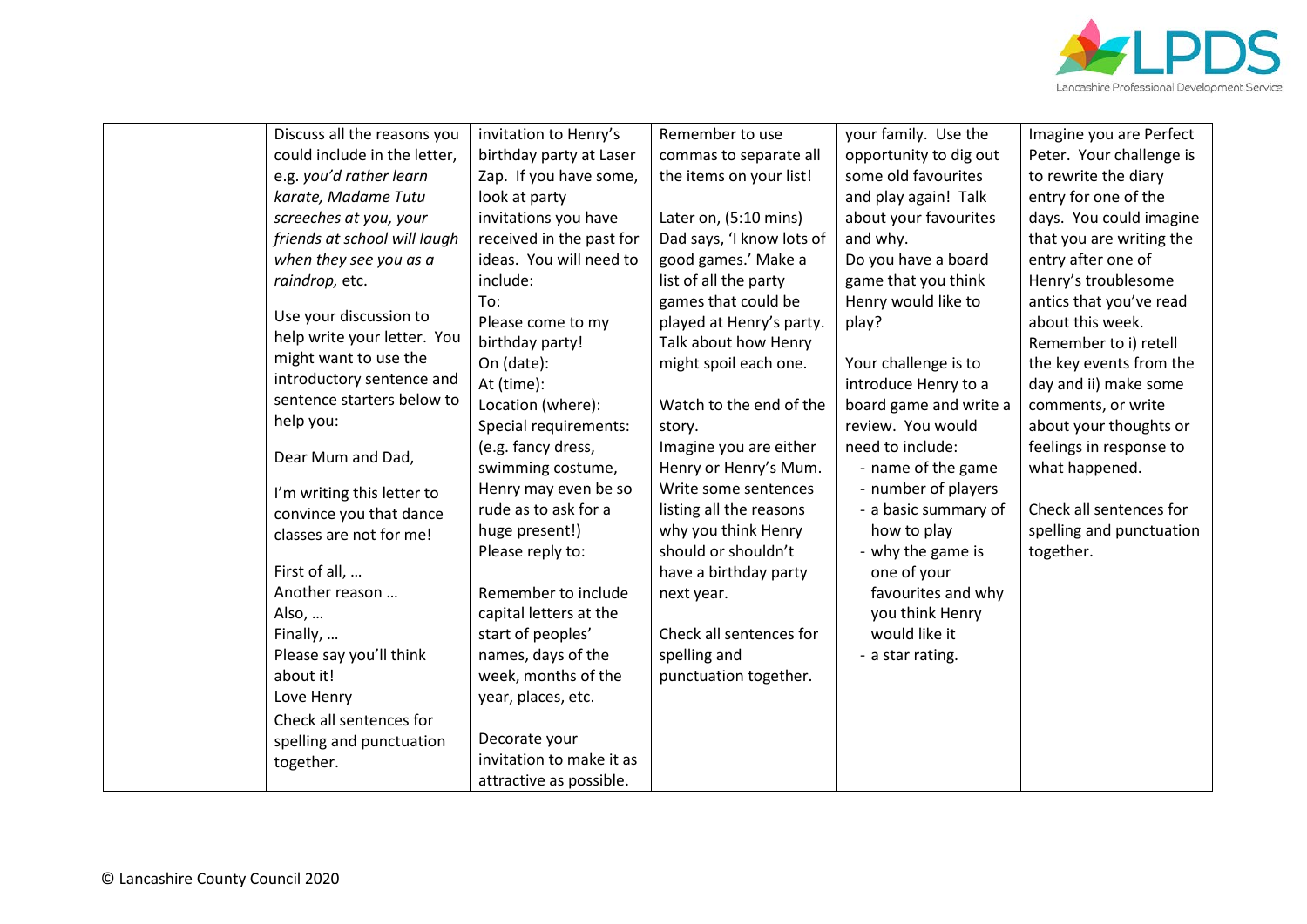

|  | Discuss all the reasons you  | invitation to Henry's    | Remember to use           | your family. Use the   | Imagine you are Perfect  |
|--|------------------------------|--------------------------|---------------------------|------------------------|--------------------------|
|  | could include in the letter, | birthday party at Laser  | commas to separate all    | opportunity to dig out | Peter. Your challenge is |
|  | e.g. you'd rather learn      | Zap. If you have some,   | the items on your list!   | some old favourites    | to rewrite the diary     |
|  | karate, Madame Tutu          | look at party            |                           | and play again! Talk   | entry for one of the     |
|  | screeches at you, your       | invitations you have     | Later on, (5:10 mins)     | about your favourites  | days. You could imagine  |
|  | friends at school will laugh | received in the past for | Dad says, 'I know lots of | and why.               | that you are writing the |
|  | when they see you as a       | ideas. You will need to  | good games.' Make a       | Do you have a board    | entry after one of       |
|  | raindrop, etc.               | include:                 | list of all the party     | game that you think    | Henry's troublesome      |
|  |                              | To:                      | games that could be       | Henry would like to    | antics that you've read  |
|  | Use your discussion to       | Please come to my        | played at Henry's party.  | play?                  | about this week.         |
|  | help write your letter. You  | birthday party!          | Talk about how Henry      |                        | Remember to i) retell    |
|  | might want to use the        | On (date):               | might spoil each one.     | Your challenge is to   | the key events from the  |
|  | introductory sentence and    | At (time):               |                           | introduce Henry to a   | day and ii) make some    |
|  | sentence starters below to   | Location (where):        | Watch to the end of the   | board game and write a | comments, or write       |
|  | help you:                    | Special requirements:    | story.                    | review. You would      | about your thoughts or   |
|  | Dear Mum and Dad,            | (e.g. fancy dress,       | Imagine you are either    | need to include:       | feelings in response to  |
|  |                              | swimming costume,        | Henry or Henry's Mum.     | - name of the game     | what happened.           |
|  | I'm writing this letter to   | Henry may even be so     | Write some sentences      | - number of players    |                          |
|  | convince you that dance      | rude as to ask for a     | listing all the reasons   | - a basic summary of   | Check all sentences for  |
|  | classes are not for me!      | huge present!)           | why you think Henry       | how to play            | spelling and punctuation |
|  |                              | Please reply to:         | should or shouldn't       | - why the game is      | together.                |
|  | First of all,                |                          | have a birthday party     | one of your            |                          |
|  | Another reason               | Remember to include      | next year.                | favourites and why     |                          |
|  | Also,                        | capital letters at the   |                           | you think Henry        |                          |
|  | Finally,                     | start of peoples'        | Check all sentences for   | would like it          |                          |
|  | Please say you'll think      | names, days of the       | spelling and              | - a star rating.       |                          |
|  | about it!                    | week, months of the      | punctuation together.     |                        |                          |
|  | Love Henry                   | year, places, etc.       |                           |                        |                          |
|  | Check all sentences for      |                          |                           |                        |                          |
|  | spelling and punctuation     | Decorate your            |                           |                        |                          |
|  |                              | invitation to make it as |                           |                        |                          |
|  | together.                    | attractive as possible.  |                           |                        |                          |
|  |                              |                          |                           |                        |                          |